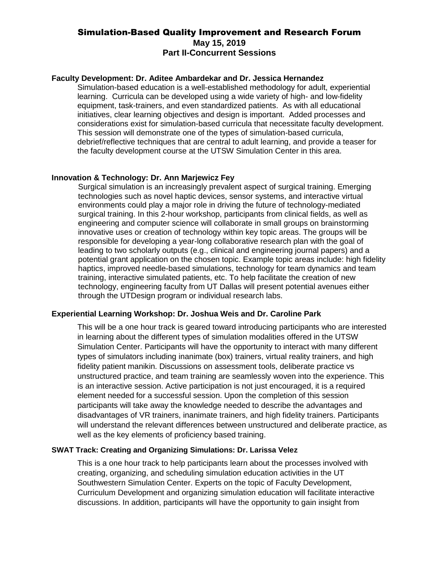# Simulation-Based Quality Improvement and Research Forum **May 15, 2019 Part II-Concurrent Sessions**

## **Faculty Development: Dr. Aditee Ambardekar and Dr. Jessica Hernandez**

Simulation-based education is a well-established methodology for adult, experiential learning. Curricula can be developed using a wide variety of high- and low-fidelity equipment, task-trainers, and even standardized patients. As with all educational initiatives, clear learning objectives and design is important. Added processes and considerations exist for simulation-based curricula that necessitate faculty development. This session will demonstrate one of the types of simulation-based curricula, debrief/reflective techniques that are central to adult learning, and provide a teaser for the faculty development course at the UTSW Simulation Center in this area.

### **Innovation & Technology: Dr. Ann Marjewicz Fey**

Surgical simulation is an increasingly prevalent aspect of surgical training. Emerging technologies such as novel haptic devices, sensor systems, and interactive virtual environments could play a major role in driving the future of technology-mediated surgical training. In this 2-hour workshop, participants from clinical fields, as well as engineering and computer science will collaborate in small groups on brainstorming innovative uses or creation of technology within key topic areas. The groups will be responsible for developing a year-long collaborative research plan with the goal of leading to two scholarly outputs (e.g., clinical and engineering journal papers) and a potential grant application on the chosen topic. Example topic areas include: high fidelity haptics, improved needle-based simulations, technology for team dynamics and team training, interactive simulated patients, etc. To help facilitate the creation of new technology, engineering faculty from UT Dallas will present potential avenues either through the UTDesign program or individual research labs.

# **Experiential Learning Workshop: Dr. Joshua Weis and Dr. Caroline Park**

This will be a one hour track is geared toward introducing participants who are interested in learning about the different types of simulation modalities offered in the UTSW Simulation Center. Participants will have the opportunity to interact with many different types of simulators including inanimate (box) trainers, virtual reality trainers, and high fidelity patient manikin. Discussions on assessment tools, deliberate practice vs unstructured practice, and team training are seamlessly woven into the experience. This is an interactive session. Active participation is not just encouraged, it is a required element needed for a successful session. Upon the completion of this session participants will take away the knowledge needed to describe the advantages and disadvantages of VR trainers, inanimate trainers, and high fidelity trainers. Participants will understand the relevant differences between unstructured and deliberate practice, as well as the key elements of proficiency based training.

## **SWAT Track: Creating and Organizing Simulations: Dr. Larissa Velez**

This is a one hour track to help participants learn about the processes involved with creating, organizing, and scheduling simulation education activities in the UT Southwestern Simulation Center. Experts on the topic of Faculty Development, Curriculum Development and organizing simulation education will facilitate interactive discussions. In addition, participants will have the opportunity to gain insight from